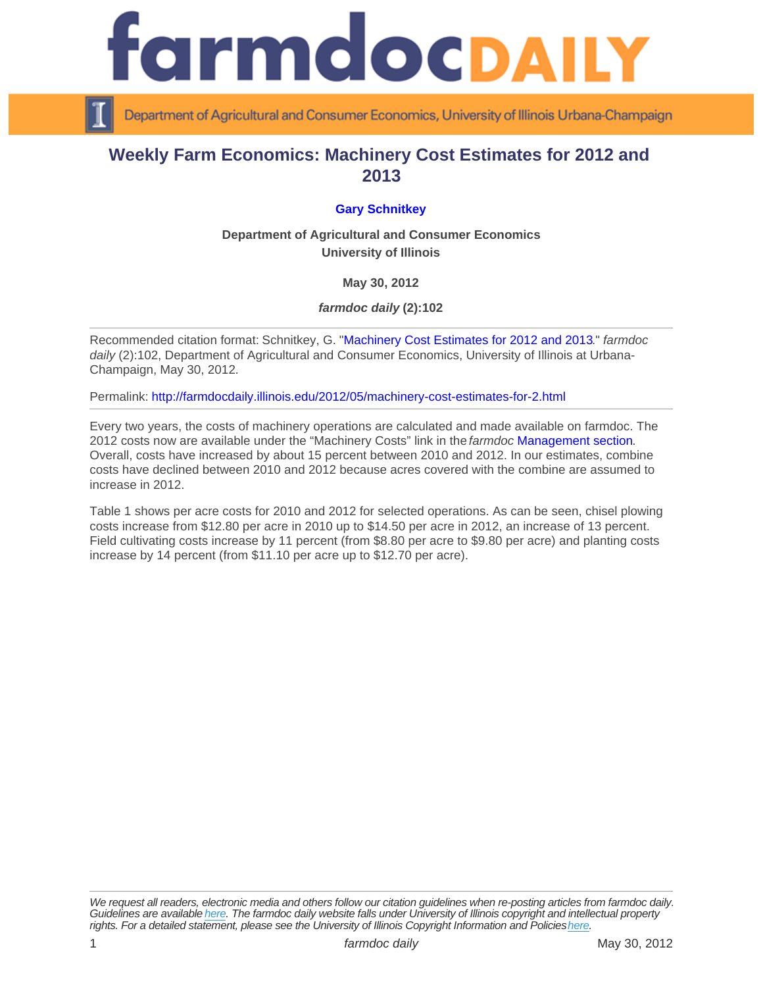## Weekly Farm Economics: Machinery Cost Estimates for 2012 and 2013

## [Gary Schnitkey](http://www.farmdoc.illinois.edu/schnitkey/)

Department of Agricultural and Consumer Economics University of Illinois

May 30, 2012

farmdoc daily (2):102

Recommended citation format: Schnitkey, G. "[Machinery Cost Estimates for 2012 and 2013](http://farmdocdaily.illinois.edu/2012/05/machinery-cost-estimates-for-2.html)." farmdoc daily (2):102, Department of Agricultural and Consumer Economics, University of Illinois at Urbana-Champaign, May 30, 2012.

Permalink:<http://farmdocdaily.illinois.edu/2012/05/machinery-cost-estimates-for-2.html>

Every two years, the costs of machinery operations are calculated and made available on farmdoc. The 2012 costs now are available under the "Machinery Costs" link in the farmdoc [Management section.](http://farmdoc.illinois.edu/manage/index.asp#handbook) Overall, costs have increased by about 15 percent between 2010 and 2012. In our estimates, combine costs have declined between 2010 and 2012 because acres covered with the combine are assumed to increase in 2012.

Table 1 shows per acre costs for 2010 and 2012 for selected operations. As can be seen, chisel plowing costs increase from \$12.80 per acre in 2010 up to \$14.50 per acre in 2012, an increase of 13 percent. Field cultivating costs increase by 11 percent (from \$8.80 per acre to \$9.80 per acre) and planting costs increase by 14 percent (from \$11.10 per acre up to \$12.70 per acre).

We request all readers, electronic media and others follow our citation guidelines when re-posting articles from farmdoc daily. Guidelines are available [here](http://farmdocdaily.illinois.edu/citationguide.html). The farmdoc daily website falls under University of Illinois copyright and intellectual property rights. For a detailed statement, please see the University of Illinois Copyright Information and Policies [here.](https://techservices.illinois.edu/office-cio)